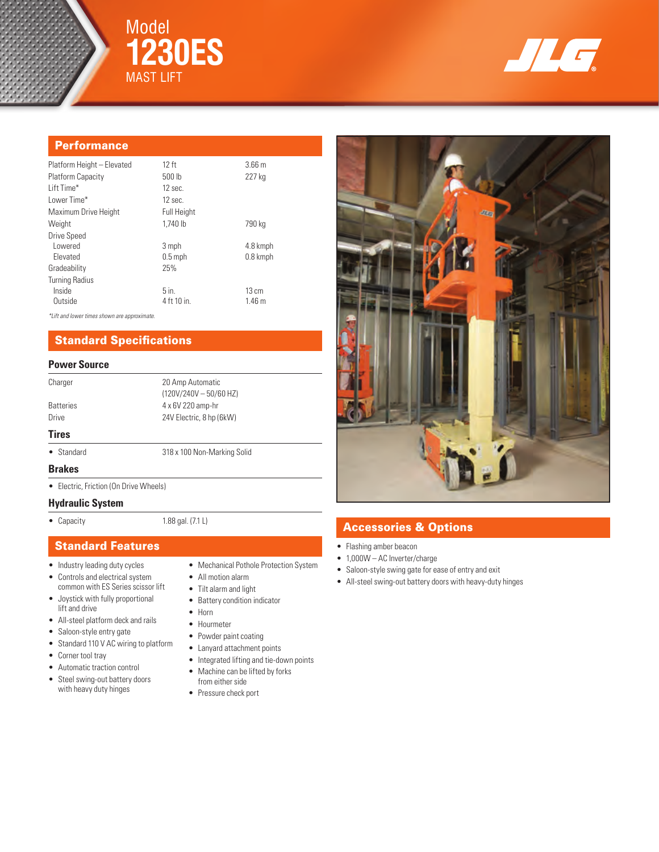



## **Performance**

| Platform Height - Elevated | 12 ft              | 3.66 <sub>m</sub> |
|----------------------------|--------------------|-------------------|
| Platform Capacity          | 500 lb             | 227 kg            |
| Lift Time*                 | $12$ sec.          |                   |
| Lower Time*                | $12$ sec.          |                   |
| Maximum Drive Height       | <b>Full Height</b> |                   |
| Weight                     | 1.740 lb           | 790 kg            |
| Drive Speed                |                    |                   |
| Lowered                    | 3 mph              | 4.8 kmph          |
| Elevated                   | $0.5$ mph          | 0.8 kmph          |
| Gradeability               | 25%                |                   |
| <b>Turning Radius</b>      |                    |                   |
| Inside                     | $5$ in.            | $13 \text{ cm}$   |
| Outside                    | 4 ft 10 in.        | 1.46 <sub>m</sub> |
|                            |                    |                   |

*\*Lift and lower times shown are approximate.*

## Standard Specifications

### **Power Source**

| Charger          | 20 Amp Automatic<br>$(120V/240V - 50/60 Hz)$ |  |
|------------------|----------------------------------------------|--|
| <b>Batteries</b> | 4 x 6V 220 amp-hr                            |  |
| Drive            | 24V Electric, 8 hp (6kW)                     |  |
| <b>Tires</b>     |                                              |  |
| • Standard       | 318 x 100 Non-Marking Solid                  |  |

#### **Brakes**

• Electric, Friction (On Drive Wheels)

### **Hydraulic System**

• Capacity 1.88 gal. (7.1 L)

### Standard Features

- Industry leading duty cycles
- Controls and electrical system common with ES Series scissor lift
- Joystick with fully proportional lift and drive
- All-steel platform deck and rails
- Saloon-style entry gate
- 
- Standard 110 V AC wiring to platform
- Corner tool tray
- Automatic traction control
- Steel swing-out battery doors with heavy duty hinges
- 
- Mechanical Pothole Protection System
- All motion alarm
- Tilt alarm and light
- Battery condition indicator
- Horn
- Hourmeter
- Powder paint coating
- Lanyard attachment points
- Integrated lifting and tie-down points
- Machine can be lifted by forks from either side
- Pressure check port



# Accessories & Options

- Flashing amber beacon
- 1,000W AC Inverter/charge
- Saloon-style swing gate for ease of entry and exit
- All-steel swing-out battery doors with heavy-duty hinges